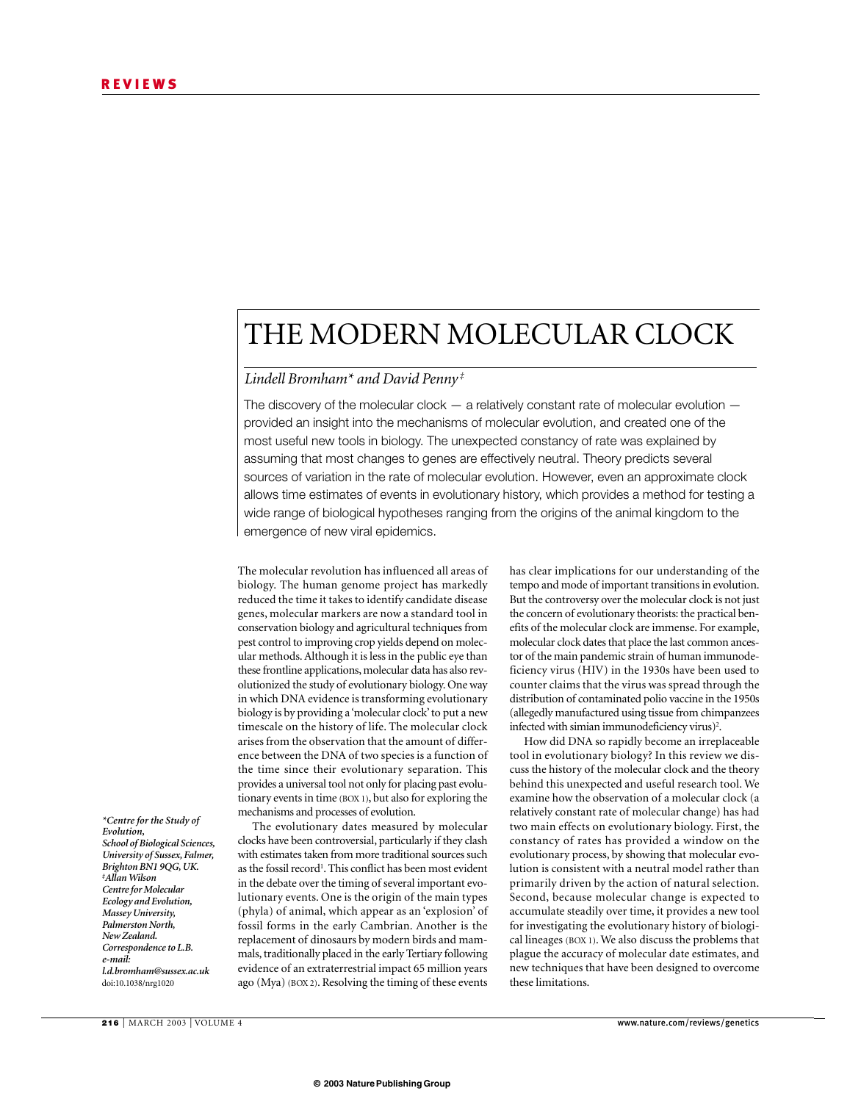# THE MODERN MOLECULAR CLOCK

# *Lindell Bromham\* and David Penny ‡*

The discovery of the molecular clock  $-$  a relatively constant rate of molecular evolution  $$ provided an insight into the mechanisms of molecular evolution, and created one of the most useful new tools in biology. The unexpected constancy of rate was explained by assuming that most changes to genes are effectively neutral. Theory predicts several sources of variation in the rate of molecular evolution. However, even an approximate clock allows time estimates of events in evolutionary history, which provides a method for testing a wide range of biological hypotheses ranging from the origins of the animal kingdom to the emergence of new viral epidemics.

The molecular revolution has influenced all areas of biology. The human genome project has markedly reduced the time it takes to identify candidate disease genes, molecular markers are now a standard tool in conservation biology and agricultural techniques from pest control to improving crop yields depend on molecular methods. Although it is less in the public eye than these frontline applications, molecular data has also revolutionized the study of evolutionary biology. One way in which DNA evidence is transforming evolutionary biology is by providing a 'molecular clock' to put a new timescale on the history of life. The molecular clock arises from the observation that the amount of difference between the DNA of two species is a function of the time since their evolutionary separation. This provides a universal tool not only for placing past evolutionary events in time (BOX 1), but also for exploring the mechanisms and processes of evolution.

The evolutionary dates measured by molecular clocks have been controversial, particularly if they clash with estimates taken from more traditional sources such as the fossil record<sup>1</sup>. This conflict has been most evident in the debate over the timing of several important evolutionary events. One is the origin of the main types (phyla) of animal, which appear as an 'explosion' of fossil forms in the early Cambrian. Another is the replacement of dinosaurs by modern birds and mammals, traditionally placed in the early Tertiary following evidence of an extraterrestrial impact 65 million years ago (Mya) (BOX 2). Resolving the timing of these events

has clear implications for our understanding of the tempo and mode of important transitions in evolution. But the controversy over the molecular clock is not just the concern of evolutionary theorists: the practical benefits of the molecular clock are immense. For example, molecular clock dates that place the last common ancestor of the main pandemic strain of human immunodeficiency virus (HIV) in the 1930s have been used to counter claims that the virus was spread through the distribution of contaminated polio vaccine in the 1950s (allegedly manufactured using tissue from chimpanzees infected with simian immunodeficiency virus)<sup>2</sup>.

How did DNA so rapidly become an irreplaceable tool in evolutionary biology? In this review we discuss the history of the molecular clock and the theory behind this unexpected and useful research tool. We examine how the observation of a molecular clock (a relatively constant rate of molecular change) has had two main effects on evolutionary biology. First, the constancy of rates has provided a window on the evolutionary process, by showing that molecular evolution is consistent with a neutral model rather than primarily driven by the action of natural selection. Second, because molecular change is expected to accumulate steadily over time, it provides a new tool for investigating the evolutionary history of biological lineages (BOX 1). We also discuss the problems that plague the accuracy of molecular date estimates, and new techniques that have been designed to overcome these limitations.

*\*Centre for the Study of Evolution, School of Biological Sciences, University of Sussex, Falmer, Brighton BN1 9QG, UK. ‡ Allan Wilson Centre for Molecular Ecology and Evolution, Massey University, Palmerston North, New Zealand. Correspondence to L.B. e-mail: l.d.bromham@sussex.ac.uk* doi:10.1038/nrg1020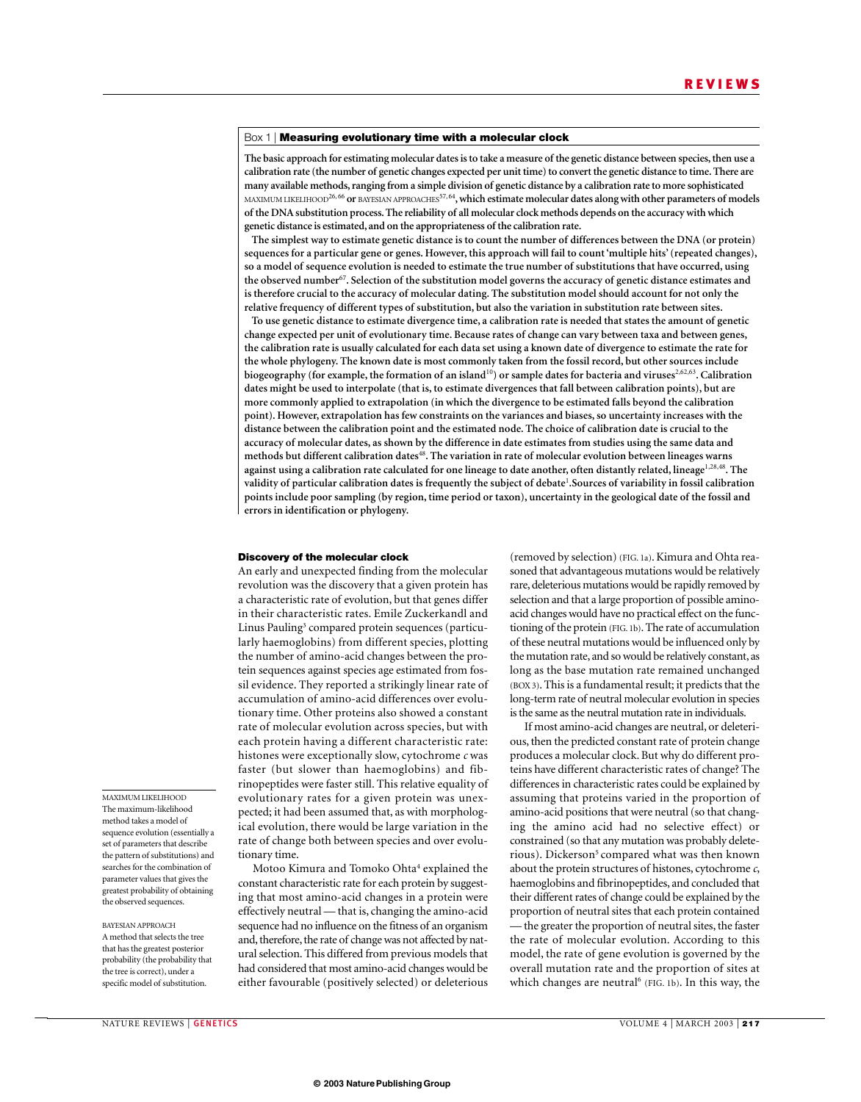## Box 1 | **Measuring evolutionary time with a molecular clock**

**The basic approach for estimating molecular dates is to take a measure of the genetic distance between species, then use a calibration rate (the number of genetic changes expected per unit time) to convert the genetic distance to time. There are many available methods, ranging from a simple division of genetic distance by a calibration rate to more sophisticated** MAXIMUM LIKELIHOOD26, 66 **or** BAYESIAN APPROACHES57, 64**, which estimate molecular dates along with other parameters of models of the DNA substitution process. The reliability of all molecular clock methods depends on the accuracy with which genetic distance is estimated, and on the appropriateness of the calibration rate.**

**The simplest way to estimate genetic distance is to count the number of differences between the DNA (or protein) sequences for a particular gene or genes. However, this approach will fail to count 'multiple hits' (repeated changes), so a model of sequence evolution is needed to estimate the true number of substitutions that have occurred, using the observed number**<sup>67</sup>**. Selection of the substitution model governs the accuracy of genetic distance estimates and is therefore crucial to the accuracy of molecular dating. The substitution model should account for not only the relative frequency of different types of substitution, but also the variation in substitution rate between sites.**

**To use genetic distance to estimate divergence time, a calibration rate is needed that states the amount of genetic change expected per unit of evolutionary time. Because rates of change can vary between taxa and between genes, the calibration rate is usually calculated for each data set using a known date of divergence to estimate the rate for the whole phylogeny. The known date is most commonly taken from the fossil record, but other sources include biogeography (for example, the formation of an island**<sup>10</sup>**) or sample dates for bacteria and viruses**2,62,63**. Calibration dates might be used to interpolate (that is, to estimate divergences that fall between calibration points), but are more commonly applied to extrapolation (in which the divergence to be estimated falls beyond the calibration point). However, extrapolation has few constraints on the variances and biases, so uncertainty increases with the distance between the calibration point and the estimated node. The choice of calibration date is crucial to the accuracy of molecular dates, as shown by the difference in date estimates from studies using the same data and methods but different calibration dates**<sup>48</sup>**. The variation in rate of molecular evolution between lineages warns against using a calibration rate calculated for one lineage to date another, often distantly related, lineage**1,28,48**. The validity of particular calibration dates is frequently the subject of debate**<sup>1</sup> **.Sources of variability in fossil calibration points include poor sampling (by region, time period or taxon), uncertainty in the geological date of the fossil and errors in identification or phylogeny.**

#### **Discovery of the molecular clock**

An early and unexpected finding from the molecular revolution was the discovery that a given protein has a characteristic rate of evolution, but that genes differ in their characteristic rates. Emile Zuckerkandl and Linus Pauling<sup>3</sup> compared protein sequences (particularly haemoglobins) from different species, plotting the number of amino-acid changes between the protein sequences against species age estimated from fossil evidence. They reported a strikingly linear rate of accumulation of amino-acid differences over evolutionary time. Other proteins also showed a constant rate of molecular evolution across species, but with each protein having a different characteristic rate: histones were exceptionally slow, cytochrome *c* was faster (but slower than haemoglobins) and fibrinopeptides were faster still. This relative equality of evolutionary rates for a given protein was unexpected; it had been assumed that, as with morphological evolution, there would be large variation in the rate of change both between species and over evolutionary time.

Motoo Kimura and Tomoko Ohta4 explained the constant characteristic rate for each protein by suggesting that most amino-acid changes in a protein were effectively neutral — that is, changing the amino-acid sequence had no influence on the fitness of an organism and, therefore, the rate of change was not affected by natural selection. This differed from previous models that had considered that most amino-acid changes would be either favourable (positively selected) or deleterious

(removed by selection) (FIG. 1a). Kimura and Ohta reasoned that advantageous mutations would be relatively rare, deleterious mutations would be rapidly removed by selection and that a large proportion of possible aminoacid changes would have no practical effect on the functioning of the protein (FIG. 1b). The rate of accumulation of these neutral mutations would be influenced only by the mutation rate, and so would be relatively constant, as long as the base mutation rate remained unchanged (BOX 3). This is a fundamental result; it predicts that the long-term rate of neutral molecular evolution in species is the same as the neutral mutation rate in individuals.

If most amino-acid changes are neutral, or deleterious, then the predicted constant rate of protein change produces a molecular clock. But why do different proteins have different characteristic rates of change? The differences in characteristic rates could be explained by assuming that proteins varied in the proportion of amino-acid positions that were neutral (so that changing the amino acid had no selective effect) or constrained (so that any mutation was probably deleterious). Dickerson<sup>5</sup> compared what was then known about the protein structures of histones, cytochrome *c*, haemoglobins and fibrinopeptides, and concluded that their different rates of change could be explained by the proportion of neutral sites that each protein contained — the greater the proportion of neutral sites, the faster the rate of molecular evolution. According to this model, the rate of gene evolution is governed by the overall mutation rate and the proportion of sites at which changes are neutral<sup>6</sup> (FIG. 1b). In this way, the

MAXIMUM LIKELIHOOD The maximum-likelihood method takes a model of sequence evolution (essentially a set of parameters that describe the pattern of substitutions) and searches for the combination of parameter values that gives the greatest probability of obtaining the observed sequences.

BAYESIAN APPROACH A method that selects the tree that has the greatest posterior probability (the probability that the tree is correct), under a specific model of substitution.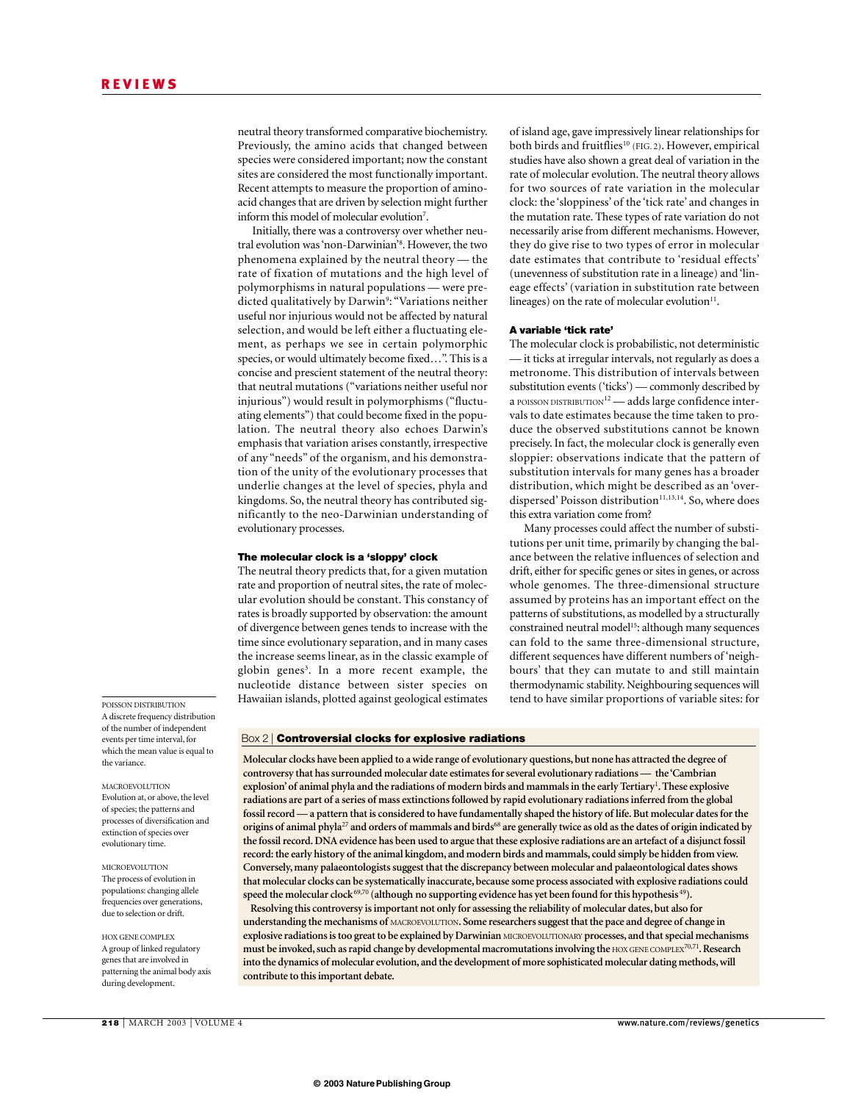neutral theory transformed comparative biochemistry. Previously, the amino acids that changed between species were considered important; now the constant sites are considered the most functionally important. Recent attempts to measure the proportion of aminoacid changes that are driven by selection might further inform this model of molecular evolution<sup>7</sup>.

Initially, there was a controversy over whether neutral evolution was 'non-Darwinian'8 . However, the two phenomena explained by the neutral theory — the rate of fixation of mutations and the high level of polymorphisms in natural populations — were predicted qualitatively by Darwin<sup>9</sup>: "Variations neither useful nor injurious would not be affected by natural selection, and would be left either a fluctuating element, as perhaps we see in certain polymorphic species, or would ultimately become fixed…". This is a concise and prescient statement of the neutral theory: that neutral mutations ("variations neither useful nor injurious") would result in polymorphisms ("fluctuating elements") that could become fixed in the population. The neutral theory also echoes Darwin's emphasis that variation arises constantly, irrespective of any "needs" of the organism, and his demonstration of the unity of the evolutionary processes that underlie changes at the level of species, phyla and kingdoms. So, the neutral theory has contributed significantly to the neo-Darwinian understanding of evolutionary processes.

## **The molecular clock is a 'sloppy' clock**

The neutral theory predicts that, for a given mutation rate and proportion of neutral sites, the rate of molecular evolution should be constant. This constancy of rates is broadly supported by observation: the amount of divergence between genes tends to increase with the time since evolutionary separation, and in many cases the increase seems linear, as in the classic example of globin genes<sup>3</sup>. In a more recent example, the nucleotide distance between sister species on **Hawaiian islands, plotted against geological estimates** POISSON DISTRIBUTION

of island age, gave impressively linear relationships for both birds and fruitflies<sup>10</sup> (FIG. 2). However, empirical studies have also shown a great deal of variation in the rate of molecular evolution. The neutral theory allows for two sources of rate variation in the molecular clock: the 'sloppiness' of the 'tick rate' and changes in the mutation rate. These types of rate variation do not necessarily arise from different mechanisms. However, they do give rise to two types of error in molecular date estimates that contribute to 'residual effects' (unevenness of substitution rate in a lineage) and 'lineage effects' (variation in substitution rate between lineages) on the rate of molecular evolution<sup>11</sup>.

#### **A variable 'tick rate'**

The molecular clock is probabilistic, not deterministic — it ticks at irregular intervals, not regularly as does a metronome. This distribution of intervals between substitution events ('ticks') — commonly described by a POISSON DISTRIBUTION<sup>12</sup> - adds large confidence intervals to date estimates because the time taken to produce the observed substitutions cannot be known precisely. In fact, the molecular clock is generally even sloppier: observations indicate that the pattern of substitution intervals for many genes has a broader distribution, which might be described as an 'overdispersed' Poisson distribution<sup>11,13,14</sup>. So, where does this extra variation come from?

Many processes could affect the number of substitutions per unit time, primarily by changing the balance between the relative influences of selection and drift, either for specific genes or sites in genes, or across whole genomes. The three-dimensional structure assumed by proteins has an important effect on the patterns of substitutions, as modelled by a structurally constrained neutral model<sup>15</sup>: although many sequences can fold to the same three-dimensional structure, different sequences have different numbers of 'neighbours' that they can mutate to and still maintain thermodynamic stability. Neighbouring sequences will tend to have similar proportions of variable sites: for

#### Box 2 | **Controversial clocks for explosive radiations**

**Molecular clocks have been applied to a wide range of evolutionary questions, but none has attracted the degree of controversy that has surrounded molecular date estimates for several evolutionary radiations — the 'Cambrian explosion' of animal phyla and the radiations of modern birds and mammals in the early Tertiary**<sup>1</sup> **. These explosive radiations are part of a series of mass extinctions followed by rapid evolutionary radiations inferred from the global fossil record — a pattern that is considered to have fundamentally shaped the history of life. But molecular dates for the origins of animal phyla**<sup>27</sup> **and orders of mammals and birds**<sup>68</sup> **are generally twice as old as the dates of origin indicated by the fossil record. DNA evidence has been used to argue that these explosive radiations are an artefact of a disjunct fossil record: the early history of the animal kingdom, and modern birds and mammals, could simply be hidden from view. Conversely, many palaeontologists suggest that the discrepancy between molecular and palaeontological dates shows that molecular clocks can be systematically inaccurate, because some process associated with explosive radiations could speed the molecular clock**69,70 **(although no supporting evidence has yet been found for this hypothesis** <sup>49</sup>**).**

**Resolving this controversy is important not only for assessing the reliability of molecular dates, but also for understanding the mechanisms of** MACROEVOLUTION**. Some researchers suggest that the pace and degree of change in explosive radiations is too great to be explained by Darwinian** MICROEVOLUTIONARY **processes, and that special mechanisms** must be invoked, such as rapid change by developmental macromutations involving the HOX GENE COMPLEX<sup>70,71</sup>. Research **into the dynamics of molecular evolution, and the development of more sophisticated molecular dating methods, will contribute to this important debate.**

A discrete frequency distribution of the number of independent events per time interval, for which the mean value is equal to the variance.

MACROEVOLUTION Evolution at, or above, the level of species; the patterns and processes of diversification and extinction of species over evolutionary time.

**MICROEVOLUTION** The process of evolution in populations: changing allele frequencies over generations, due to selection or drift.

HOX GENE COMPLEX A group of linked regulatory genes that are involved in patterning the animal body axis during development.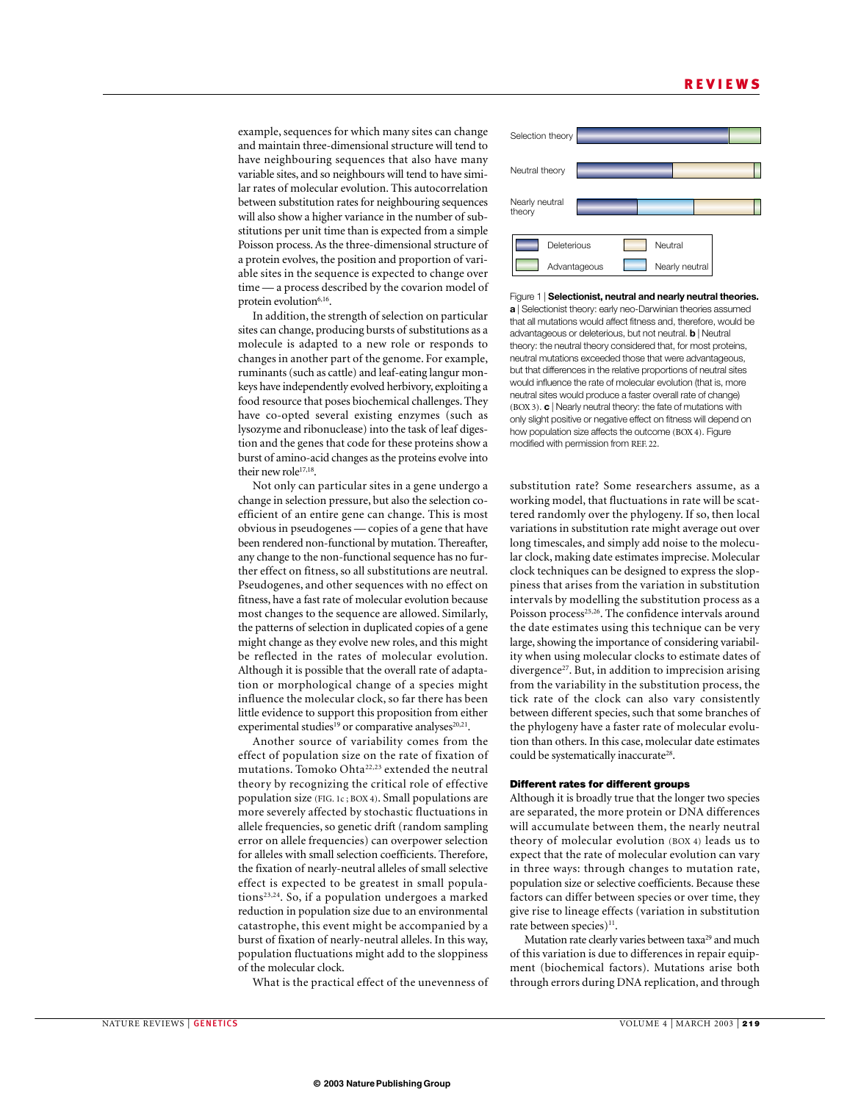## REVIEWS

example, sequences for which many sites can change and maintain three-dimensional structure will tend to have neighbouring sequences that also have many variable sites, and so neighbours will tend to have similar rates of molecular evolution. This autocorrelation between substitution rates for neighbouring sequences will also show a higher variance in the number of substitutions per unit time than is expected from a simple Poisson process. As the three-dimensional structure of a protein evolves, the position and proportion of variable sites in the sequence is expected to change over time — a process described by the covarion model of protein evolution<sup>6,16</sup>.

In addition, the strength of selection on particular sites can change, producing bursts of substitutions as a molecule is adapted to a new role or responds to changes in another part of the genome. For example, ruminants (such as cattle) and leaf-eating langur monkeys have independently evolved herbivory, exploiting a food resource that poses biochemical challenges. They have co-opted several existing enzymes (such as lysozyme and ribonuclease) into the task of leaf digestion and the genes that code for these proteins show a burst of amino-acid changes as the proteins evolve into their new role<sup>17,18</sup>.

Not only can particular sites in a gene undergo a change in selection pressure, but also the selection coefficient of an entire gene can change. This is most obvious in pseudogenes — copies of a gene that have been rendered non-functional by mutation. Thereafter, any change to the non-functional sequence has no further effect on fitness, so all substitutions are neutral. Pseudogenes, and other sequences with no effect on fitness, have a fast rate of molecular evolution because most changes to the sequence are allowed. Similarly, the patterns of selection in duplicated copies of a gene might change as they evolve new roles, and this might be reflected in the rates of molecular evolution. Although it is possible that the overall rate of adaptation or morphological change of a species might influence the molecular clock, so far there has been little evidence to support this proposition from either experimental studies<sup>19</sup> or comparative analyses<sup>20,21</sup>.

Another source of variability comes from the effect of population size on the rate of fixation of mutations. Tomoko Ohta<sup>22,23</sup> extended the neutral theory by recognizing the critical role of effective population size (FIG. 1c ; BOX 4). Small populations are more severely affected by stochastic fluctuations in allele frequencies, so genetic drift (random sampling error on allele frequencies) can overpower selection for alleles with small selection coefficients. Therefore, the fixation of nearly-neutral alleles of small selective effect is expected to be greatest in small populations23,24. So, if a population undergoes a marked reduction in population size due to an environmental catastrophe, this event might be accompanied by a burst of fixation of nearly-neutral alleles. In this way, population fluctuations might add to the sloppiness of the molecular clock.

What is the practical effect of the unevenness of



Figure 1 | **Selectionist, neutral and nearly neutral theories. a** | Selectionist theory: early neo-Darwinian theories assumed that all mutations would affect fitness and, therefore, would be advantageous or deleterious, but not neutral. **b** | Neutral theory: the neutral theory considered that, for most proteins, neutral mutations exceeded those that were advantageous, but that differences in the relative proportions of neutral sites would influence the rate of molecular evolution (that is, more neutral sites would produce a faster overall rate of change) (BOX 3). **c** | Nearly neutral theory: the fate of mutations with only slight positive or negative effect on fitness will depend on how population size affects the outcome (BOX 4). Figure modified with permission from REF. 22.

substitution rate? Some researchers assume, as a working model, that fluctuations in rate will be scattered randomly over the phylogeny. If so, then local variations in substitution rate might average out over long timescales, and simply add noise to the molecular clock, making date estimates imprecise. Molecular clock techniques can be designed to express the sloppiness that arises from the variation in substitution intervals by modelling the substitution process as a Poisson process<sup>25,26</sup>. The confidence intervals around the date estimates using this technique can be very large, showing the importance of considering variability when using molecular clocks to estimate dates of divergence<sup>27</sup>. But, in addition to imprecision arising from the variability in the substitution process, the tick rate of the clock can also vary consistently between different species, such that some branches of the phylogeny have a faster rate of molecular evolution than others. In this case, molecular date estimates could be systematically inaccurate<sup>28</sup>.

## **Different rates for different groups**

Although it is broadly true that the longer two species are separated, the more protein or DNA differences will accumulate between them, the nearly neutral theory of molecular evolution (BOX 4) leads us to expect that the rate of molecular evolution can vary in three ways: through changes to mutation rate, population size or selective coefficients. Because these factors can differ between species or over time, they give rise to lineage effects (variation in substitution rate between species)<sup>11</sup>.

Mutation rate clearly varies between taxa<sup>29</sup> and much of this variation is due to differences in repair equipment (biochemical factors). Mutations arise both through errors during DNA replication, and through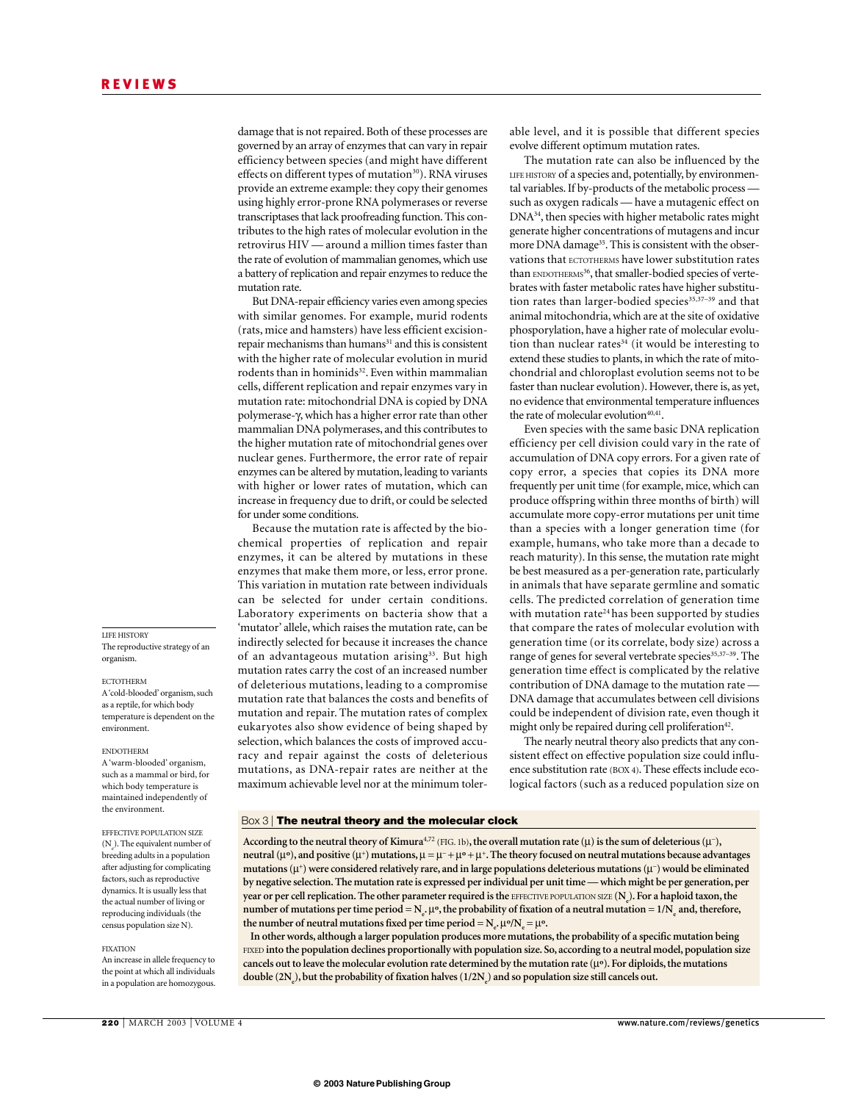damage that is not repaired. Both of these processes are governed by an array of enzymes that can vary in repair efficiency between species (and might have different effects on different types of mutation<sup>30</sup>). RNA viruses provide an extreme example: they copy their genomes using highly error-prone RNA polymerases or reverse transcriptases that lack proofreading function. This contributes to the high rates of molecular evolution in the retrovirus HIV — around a million times faster than the rate of evolution of mammalian genomes, which use a battery of replication and repair enzymes to reduce the mutation rate.

But DNA-repair efficiency varies even among species with similar genomes. For example, murid rodents (rats, mice and hamsters) have less efficient excisionrepair mechanisms than humans<sup>31</sup> and this is consistent with the higher rate of molecular evolution in murid rodents than in hominids<sup>32</sup>. Even within mammalian cells, different replication and repair enzymes vary in mutation rate: mitochondrial DNA is copied by DNA polymerase-γ, which has a higher error rate than other mammalian DNA polymerases, and this contributes to the higher mutation rate of mitochondrial genes over nuclear genes. Furthermore, the error rate of repair enzymes can be altered by mutation, leading to variants with higher or lower rates of mutation, which can increase in frequency due to drift, or could be selected for under some conditions.

Because the mutation rate is affected by the biochemical properties of replication and repair enzymes, it can be altered by mutations in these enzymes that make them more, or less, error prone. This variation in mutation rate between individuals can be selected for under certain conditions. Laboratory experiments on bacteria show that a 'mutator' allele, which raises the mutation rate, can be indirectly selected for because it increases the chance of an advantageous mutation arising<sup>33</sup>. But high mutation rates carry the cost of an increased number of deleterious mutations, leading to a compromise mutation rate that balances the costs and benefits of mutation and repair. The mutation rates of complex eukaryotes also show evidence of being shaped by selection, which balances the costs of improved accuracy and repair against the costs of deleterious mutations, as DNA-repair rates are neither at the maximum achievable level nor at the minimum toler-

able level, and it is possible that different species evolve different optimum mutation rates.

The mutation rate can also be influenced by the LIFE HISTORY of a species and, potentially, by environmental variables. If by-products of the metabolic process such as oxygen radicals — have a mutagenic effect on DNA34, then species with higher metabolic rates might generate higher concentrations of mutagens and incur more DNA damage<sup>35</sup>. This is consistent with the observations that ECTOTHERMS have lower substitution rates than ENDOTHERMS<sup>36</sup>, that smaller-bodied species of vertebrates with faster metabolic rates have higher substitution rates than larger-bodied species $35,37-39$  and that animal mitochondria, which are at the site of oxidative phosporylation, have a higher rate of molecular evolution than nuclear rates $34$  (it would be interesting to extend these studies to plants, in which the rate of mitochondrial and chloroplast evolution seems not to be faster than nuclear evolution). However, there is, as yet, no evidence that environmental temperature influences the rate of molecular evolution<sup>40,41</sup>.

Even species with the same basic DNA replication efficiency per cell division could vary in the rate of accumulation of DNA copy errors. For a given rate of copy error, a species that copies its DNA more frequently per unit time (for example, mice, which can produce offspring within three months of birth) will accumulate more copy-error mutations per unit time than a species with a longer generation time (for example, humans, who take more than a decade to reach maturity). In this sense, the mutation rate might be best measured as a per-generation rate, particularly in animals that have separate germline and somatic cells. The predicted correlation of generation time with mutation rate<sup>24</sup> has been supported by studies that compare the rates of molecular evolution with generation time (or its correlate, body size) across a range of genes for several vertebrate species<sup>35,37–39</sup>. The generation time effect is complicated by the relative contribution of DNA damage to the mutation rate — DNA damage that accumulates between cell divisions could be independent of division rate, even though it might only be repaired during cell proliferation<sup>42</sup>.

The nearly neutral theory also predicts that any consistent effect on effective population size could influence substitution rate (BOX 4). These effects include ecological factors (such as a reduced population size on

#### LIFE HISTORY The reproductive strategy of an organism.

#### **ECTOTHERM**

A 'cold-blooded' organism, such as a reptile, for which body temperature is dependent on the environment.

#### ENDOTHERM

A 'warm-blooded' organism, such as a mammal or bird, for which body temperature is maintained independently of the environment.

#### EFFECTIVE POPULATION SIZE

 $(N_e)$ . The equivalent number of breeding adults in a population after adjusting for complicating factors, such as reproductive dynamics. It is usually less that the actual number of living or reproducing individuals (the census population size N).

#### FIXATION

An increase in allele frequency to the point at which all individuals in a population are homozygous.

## Box 3 | **The neutral theory and the molecular clock**

According to the neutral theory of Kimura<sup>4,72</sup> (FIG. 1b), the overall mutation rate  $(\mu)$  is the sum of deleterious  $(\mu^-)$ , **neutral (**µ**º), and positive (**µ+ **) mutations,**µ **=** µ− + µ**º** + µ**+. The theory focused on neutral mutations because advantages mutations (**µ+ **) were considered relatively rare, and in large populations deleterious mutations (**µ− **) would be eliminated by negative selection. The mutation rate is expressed per individual per unit time — which might be per generation, per year or per cell replication. The other parameter required is the** EFFECTIVE POPULATION SIZE **(Ne ). For a haploid taxon, the** number of mutations per time period = N<sub>e</sub>. µ°, the probability of fixation of a neutral mutation = 1/N<sub>e</sub> and, therefore, the number of neutral mutations fixed per time period =  $N_e$ .  $\mu$ °/ $N_e$  =  $\mu$ °.

**In other words, although a larger population produces more mutations, the probability of a specific mutation being** FIXED **into the population declines proportionally with population size. So, according to a neutral model, population size cancels out to leave the molecular evolution rate determined by the mutation rate (**µ**º). For diploids, the mutations** double (2N<sub>e</sub>), but the probability of fixation halves (1/2N<sub>e</sub>) and so population size still cancels out.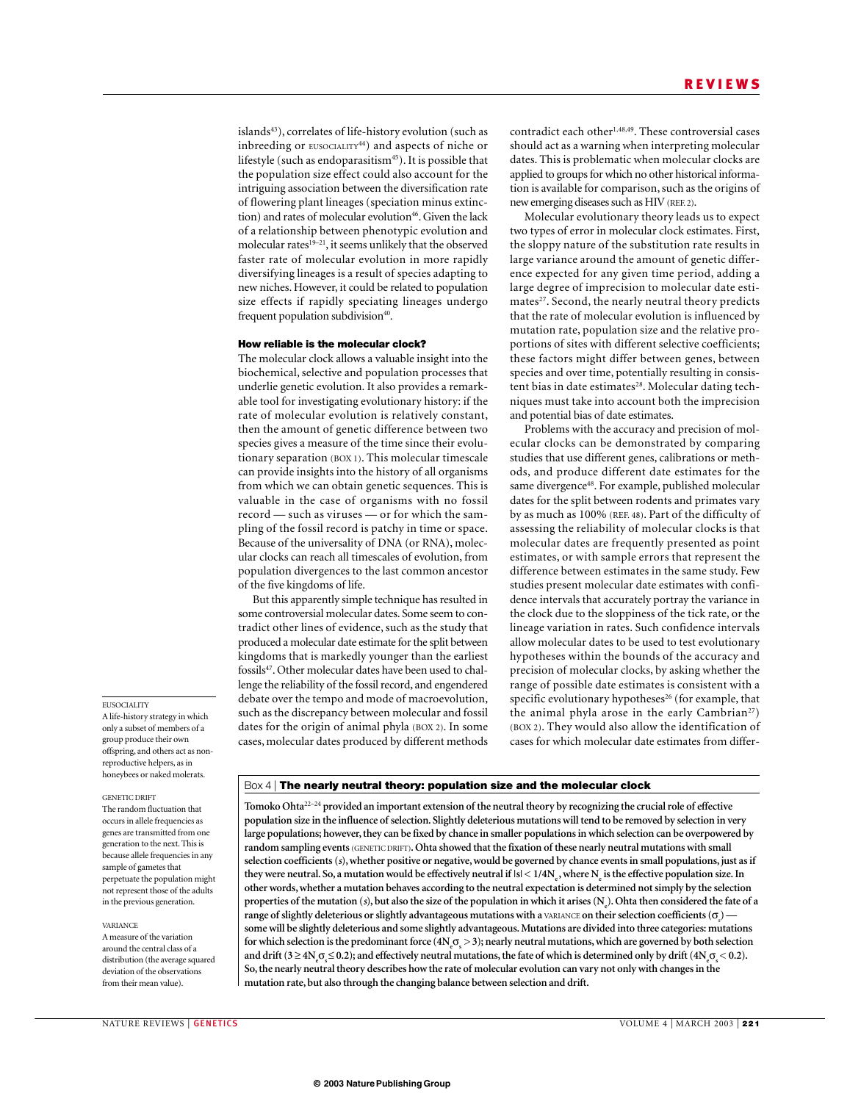islands<sup>43</sup>), correlates of life-history evolution (such as inbreeding or EUSOCIALITY<sup>44</sup>) and aspects of niche or lifestyle (such as endoparasitism<sup>45</sup>). It is possible that the population size effect could also account for the intriguing association between the diversification rate of flowering plant lineages (speciation minus extinction) and rates of molecular evolution<sup>46</sup>. Given the lack of a relationship between phenotypic evolution and molecular rates<sup>19-21</sup>, it seems unlikely that the observed faster rate of molecular evolution in more rapidly diversifying lineages is a result of species adapting to new niches. However, it could be related to population size effects if rapidly speciating lineages undergo frequent population subdivision<sup>40</sup>.

#### **How reliable is the molecular clock?**

The molecular clock allows a valuable insight into the biochemical, selective and population processes that underlie genetic evolution. It also provides a remarkable tool for investigating evolutionary history: if the rate of molecular evolution is relatively constant, then the amount of genetic difference between two species gives a measure of the time since their evolutionary separation (BOX 1). This molecular timescale can provide insights into the history of all organisms from which we can obtain genetic sequences. This is valuable in the case of organisms with no fossil record — such as viruses — or for which the sampling of the fossil record is patchy in time or space. Because of the universality of DNA (or RNA), molecular clocks can reach all timescales of evolution, from population divergences to the last common ancestor of the five kingdoms of life.

But this apparently simple technique has resulted in some controversial molecular dates. Some seem to contradict other lines of evidence, such as the study that produced a molecular date estimate for the split between kingdoms that is markedly younger than the earliest fossils<sup>47</sup>. Other molecular dates have been used to challenge the reliability of the fossil record, and engendered debate over the tempo and mode of macroevolution, such as the discrepancy between molecular and fossil dates for the origin of animal phyla (BOX 2). In some cases, molecular dates produced by different methods

contradict each other<sup>1,48,49</sup>. These controversial cases should act as a warning when interpreting molecular dates. This is problematic when molecular clocks are applied to groups for which no other historical information is available for comparison, such as the origins of new emerging diseases such as HIV (REF. 2).

Molecular evolutionary theory leads us to expect two types of error in molecular clock estimates. First, the sloppy nature of the substitution rate results in large variance around the amount of genetic difference expected for any given time period, adding a large degree of imprecision to molecular date estimates<sup>27</sup>. Second, the nearly neutral theory predicts that the rate of molecular evolution is influenced by mutation rate, population size and the relative proportions of sites with different selective coefficients; these factors might differ between genes, between species and over time, potentially resulting in consistent bias in date estimates<sup>28</sup>. Molecular dating techniques must take into account both the imprecision and potential bias of date estimates.

Problems with the accuracy and precision of molecular clocks can be demonstrated by comparing studies that use different genes, calibrations or methods, and produce different date estimates for the same divergence<sup>48</sup>. For example, published molecular dates for the split between rodents and primates vary by as much as 100% (REF. 48). Part of the difficulty of assessing the reliability of molecular clocks is that molecular dates are frequently presented as point estimates, or with sample errors that represent the difference between estimates in the same study. Few studies present molecular date estimates with confidence intervals that accurately portray the variance in the clock due to the sloppiness of the tick rate, or the lineage variation in rates. Such confidence intervals allow molecular dates to be used to test evolutionary hypotheses within the bounds of the accuracy and precision of molecular clocks, by asking whether the range of possible date estimates is consistent with a specific evolutionary hypotheses $26$  (for example, that the animal phyla arose in the early  $Cam *bin*$ (BOX 2). They would also allow the identification of cases for which molecular date estimates from differ-

#### **EUSOCIALITY**

A life-history strategy in which only a subset of members of a group produce their own offspring, and others act as nonreproductive helpers, as in honeybees or naked molerats.

#### GENETIC DRIFT

The random fluctuation that occurs in allele frequencies as genes are transmitted from one generation to the next. This is because allele frequencies in any sample of gametes that perpetuate the population might not represent those of the adults in the previous generation.

#### VARIANCE

A measure of the variation around the central class of a distribution (the average squared deviation of the observations from their mean value).

Box 4 | **The nearly neutral theory: population size and the molecular clock**

**Tomoko Ohta**22–24 **provided an important extension of the neutral theory by recognizing the crucial role of effective population size in the influence of selection. Slightly deleterious mutations will tend to be removed by selection in very large populations; however, they can be fixed by chance in smaller populations in which selection can be overpowered by random sampling events** (GENETIC DRIFT)**. Ohta showed that the fixation of these nearly neutral mutations with small selection coefficients (***s***), whether positive or negative, would be governed by chance events in small populations, just as if** they were neutral. So, a mutation would be effectively neutral if  $|s| < 1/4N$ <sub>s</sub>, where N<sub>r</sub> is the effective population size. In **other words, whether a mutation behaves according to the neutral expectation is determined not simply by the selection** properties of the mutation (*s*), but also the size of the population in which it arises (N<sub>e</sub>). Ohta then considered the fate of a **range of slightly deleterious or slightly advantageous mutations with a** <code>VARIANCE</code> on their selection coefficients ( $\sigma$ <sub>s</sub>) **some will be slightly deleterious and some slightly advantageous. Mutations are divided into three categories: mutations for which selection is the predominant force (4N<sub>ε</sub>σ<sub>s</sub> > 3); nearly neutral mutations, which are governed by both selection** and drift (3 ≥ 4N <sub>ε</sub>σ<sub>*s*</sub> ≤ 0.2); and effectively neutral mutations, the fate of which is determined only by drift (4N <sub>ε</sub>σ<sub>*s*</sub> < 0.2). **So, the nearly neutral theory describes how the rate of molecular evolution can vary not only with changes in the mutation rate, but also through the changing balance between selection and drift.**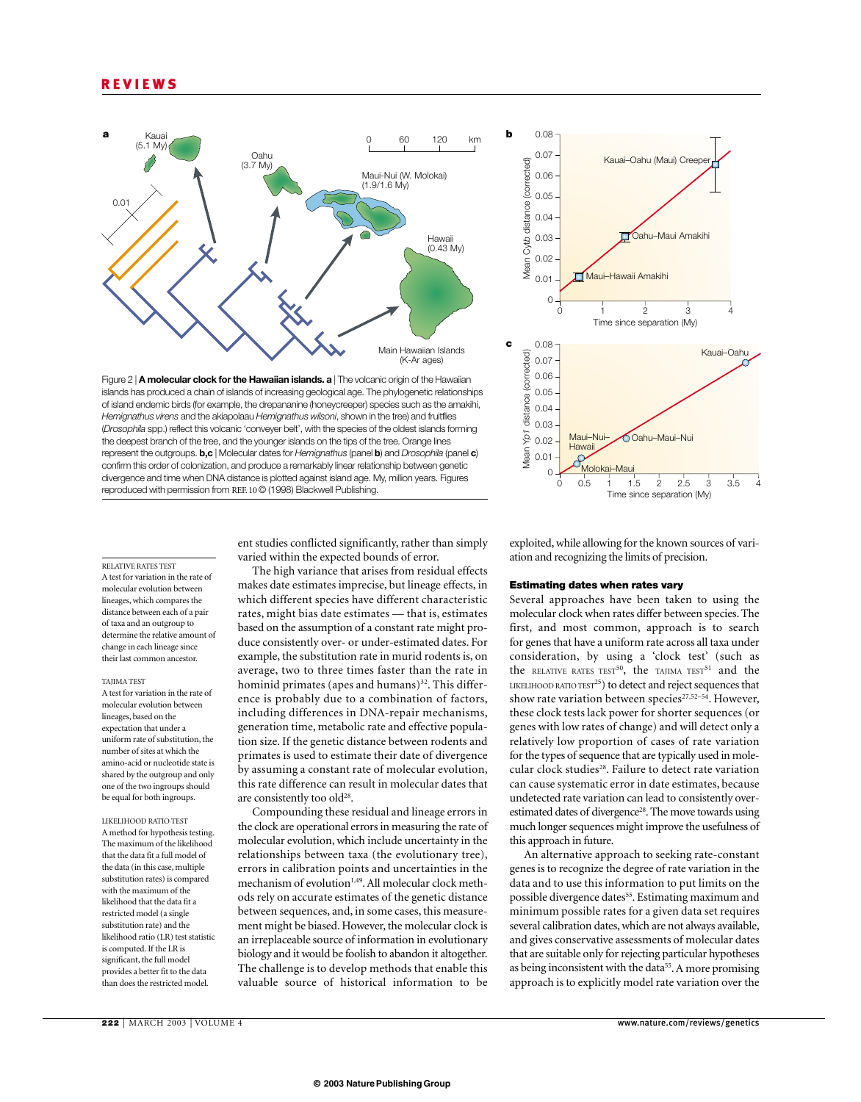## REVIEWS



Figure 2 | **A molecular clock for the Hawaiian islands. a** | The volcanic origin of the Hawaiian islands has produced a chain of islands of increasing geological age. The phylogenetic relationships of island endemic birds (for example, the drepananine (honeycreeper) species such as the amakihi, *Hemignathus virens* and the akiapolaau *Hemignathus wilsoni*, shown in the tree) and fruitflies (*Drosophila* spp.) reflect this volcanic 'conveyer belt', with the species of the oldest islands forming the deepest branch of the tree, and the younger islands on the tips of the tree. Orange lines represent the outgroups. **b,c** | Molecular dates for *Hemignathus* (panel **b**) and *Drosophila* (panel **c**) confirm this order of colonization, and produce a remarkably linear relationship between genetic divergence and time when DNA distance is plotted against island age. My, million years. Figures reproduced with permission from REF. 10 © (1998) Blackwell Publishing.



RELATIVE RATES TEST

A test for variation in the rate of molecular evolution between lineages, which compares the distance between each of a pair of taxa and an outgroup to determine the relative amount of change in each lineage since their last common ancestor.

#### TAJIMA TEST

A test for variation in the rate of molecular evolution between lineages, based on the expectation that under a uniform rate of substitution, the number of sites at which the amino-acid or nucleotide state is shared by the outgroup and only one of the two ingroups should be equal for both ingroups.

LIKELIHOOD RATIO TEST A method for hypothesis testing. The maximum of the likelihood that the data fit a full model of the data (in this case, multiple substitution rates) is compared with the maximum of the likelihood that the data fit a restricted model (a single substitution rate) and the likelihood ratio (LR) test statistic is computed. If the LR is significant, the full model provides a better fit to the data than does the restricted model.

ent studies conflicted significantly, rather than simply varied within the expected bounds of error.

The high variance that arises from residual effects makes date estimates imprecise, but lineage effects, in which different species have different characteristic rates, might bias date estimates — that is, estimates based on the assumption of a constant rate might produce consistently over- or under-estimated dates. For example, the substitution rate in murid rodents is, on average, two to three times faster than the rate in hominid primates (apes and humans)<sup>32</sup>. This difference is probably due to a combination of factors, including differences in DNA-repair mechanisms, generation time, metabolic rate and effective population size. If the genetic distance between rodents and primates is used to estimate their date of divergence by assuming a constant rate of molecular evolution, this rate difference can result in molecular dates that are consistently too old<sup>28</sup>.

Compounding these residual and lineage errors in the clock are operational errors in measuring the rate of molecular evolution, which include uncertainty in the relationships between taxa (the evolutionary tree), errors in calibration points and uncertainties in the mechanism of evolution<sup>1,49</sup>. All molecular clock methods rely on accurate estimates of the genetic distance between sequences, and, in some cases, this measurement might be biased. However, the molecular clock is an irreplaceable source of information in evolutionary biology and it would be foolish to abandon it altogether. The challenge is to develop methods that enable this valuable source of historical information to be

exploited, while allowing for the known sources of variation and recognizing the limits of precision.

## **Estimating dates when rates vary**

Several approaches have been taken to using the molecular clock when rates differ between species. The first, and most common, approach is to search for genes that have a uniform rate across all taxa under consideration, by using a 'clock test' (such as the RELATIVE RATES TEST<sup>50</sup>, the TAJIMA TEST<sup>51</sup> and the LIKELIHOOD RATIO TEST<sup>25</sup>) to detect and reject sequences that show rate variation between species<sup>27,52–54</sup>. However, these clock tests lack power for shorter sequences (or genes with low rates of change) and will detect only a relatively low proportion of cases of rate variation for the types of sequence that are typically used in molecular clock studies<sup>28</sup>. Failure to detect rate variation can cause systematic error in date estimates, because undetected rate variation can lead to consistently overestimated dates of divergence<sup>28</sup>. The move towards using much longer sequences might improve the usefulness of this approach in future.

An alternative approach to seeking rate-constant genes is to recognize the degree of rate variation in the data and to use this information to put limits on the possible divergence dates<sup>55</sup>. Estimating maximum and minimum possible rates for a given data set requires several calibration dates, which are not always available, and gives conservative assessments of molecular dates that are suitable only for rejecting particular hypotheses as being inconsistent with the data<sup>55</sup>. A more promising approach is to explicitly model rate variation over the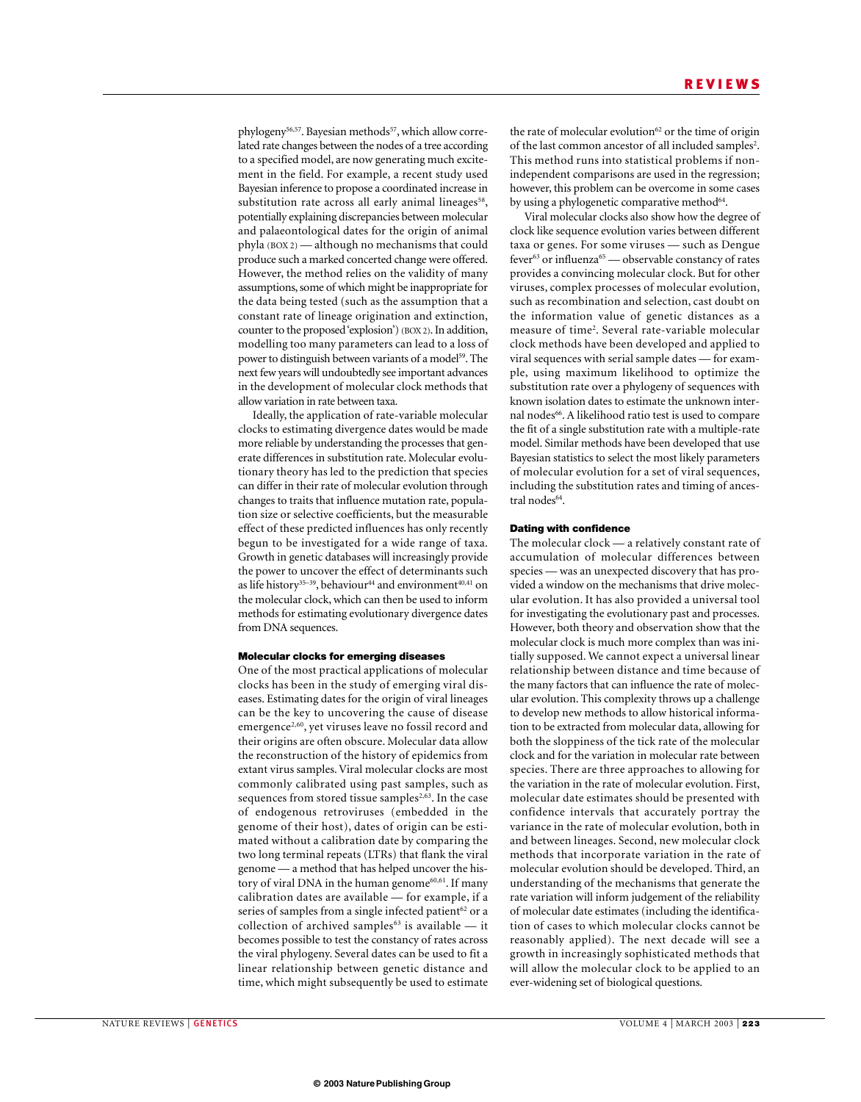phylogeny<sup>56,57</sup>. Bayesian methods<sup>57</sup>, which allow correlated rate changes between the nodes of a tree according to a specified model, are now generating much excitement in the field. For example, a recent study used Bayesian inference to propose a coordinated increase in substitution rate across all early animal lineages<sup>58</sup>, potentially explaining discrepancies between molecular and palaeontological dates for the origin of animal phyla (BOX 2) — although no mechanisms that could produce such a marked concerted change were offered. However, the method relies on the validity of many assumptions, some of which might be inappropriate for the data being tested (such as the assumption that a constant rate of lineage origination and extinction, counter to the proposed 'explosion') (BOX 2). In addition, modelling too many parameters can lead to a loss of power to distinguish between variants of a model<sup>59</sup>. The next few years will undoubtedly see important advances in the development of molecular clock methods that allow variation in rate between taxa.

Ideally, the application of rate-variable molecular clocks to estimating divergence dates would be made more reliable by understanding the processes that generate differences in substitution rate. Molecular evolutionary theory has led to the prediction that species can differ in their rate of molecular evolution through changes to traits that influence mutation rate, population size or selective coefficients, but the measurable effect of these predicted influences has only recently begun to be investigated for a wide range of taxa. Growth in genetic databases will increasingly provide the power to uncover the effect of determinants such as life history<sup>35-39</sup>, behaviour<sup>44</sup> and environment<sup>40,41</sup> on the molecular clock, which can then be used to inform methods for estimating evolutionary divergence dates from DNA sequences.

#### **Molecular clocks for emerging diseases**

One of the most practical applications of molecular clocks has been in the study of emerging viral diseases. Estimating dates for the origin of viral lineages can be the key to uncovering the cause of disease emergence<sup>2,60</sup>, yet viruses leave no fossil record and their origins are often obscure. Molecular data allow the reconstruction of the history of epidemics from extant virus samples. Viral molecular clocks are most commonly calibrated using past samples, such as sequences from stored tissue samples<sup>2,63</sup>. In the case of endogenous retroviruses (embedded in the genome of their host), dates of origin can be estimated without a calibration date by comparing the two long terminal repeats (LTRs) that flank the viral genome — a method that has helped uncover the history of viral DNA in the human genome<sup>60,61</sup>. If many calibration dates are available — for example, if a series of samples from a single infected patient<sup>62</sup> or a collection of archived samples $63$  is available  $-$  it becomes possible to test the constancy of rates across the viral phylogeny. Several dates can be used to fit a linear relationship between genetic distance and time, which might subsequently be used to estimate

the rate of molecular evolution $62$  or the time of origin of the last common ancestor of all included samples<sup>2</sup>. This method runs into statistical problems if nonindependent comparisons are used in the regression; however, this problem can be overcome in some cases by using a phylogenetic comparative method $64$ .

Viral molecular clocks also show how the degree of clock like sequence evolution varies between different taxa or genes. For some viruses — such as Dengue fever<sup>63</sup> or influenza<sup>65</sup> — observable constancy of rates provides a convincing molecular clock. But for other viruses, complex processes of molecular evolution, such as recombination and selection, cast doubt on the information value of genetic distances as a measure of time2 . Several rate-variable molecular clock methods have been developed and applied to viral sequences with serial sample dates — for example, using maximum likelihood to optimize the substitution rate over a phylogeny of sequences with known isolation dates to estimate the unknown internal nodes<sup>66</sup>. A likelihood ratio test is used to compare the fit of a single substitution rate with a multiple-rate model. Similar methods have been developed that use Bayesian statistics to select the most likely parameters of molecular evolution for a set of viral sequences, including the substitution rates and timing of ancestral nodes<sup>64</sup>.

## **Dating with confidence**

The molecular clock — a relatively constant rate of accumulation of molecular differences between species — was an unexpected discovery that has provided a window on the mechanisms that drive molecular evolution. It has also provided a universal tool for investigating the evolutionary past and processes. However, both theory and observation show that the molecular clock is much more complex than was initially supposed. We cannot expect a universal linear relationship between distance and time because of the many factors that can influence the rate of molecular evolution. This complexity throws up a challenge to develop new methods to allow historical information to be extracted from molecular data, allowing for both the sloppiness of the tick rate of the molecular clock and for the variation in molecular rate between species. There are three approaches to allowing for the variation in the rate of molecular evolution. First, molecular date estimates should be presented with confidence intervals that accurately portray the variance in the rate of molecular evolution, both in and between lineages. Second, new molecular clock methods that incorporate variation in the rate of molecular evolution should be developed. Third, an understanding of the mechanisms that generate the rate variation will inform judgement of the reliability of molecular date estimates (including the identification of cases to which molecular clocks cannot be reasonably applied). The next decade will see a growth in increasingly sophisticated methods that will allow the molecular clock to be applied to an ever-widening set of biological questions.